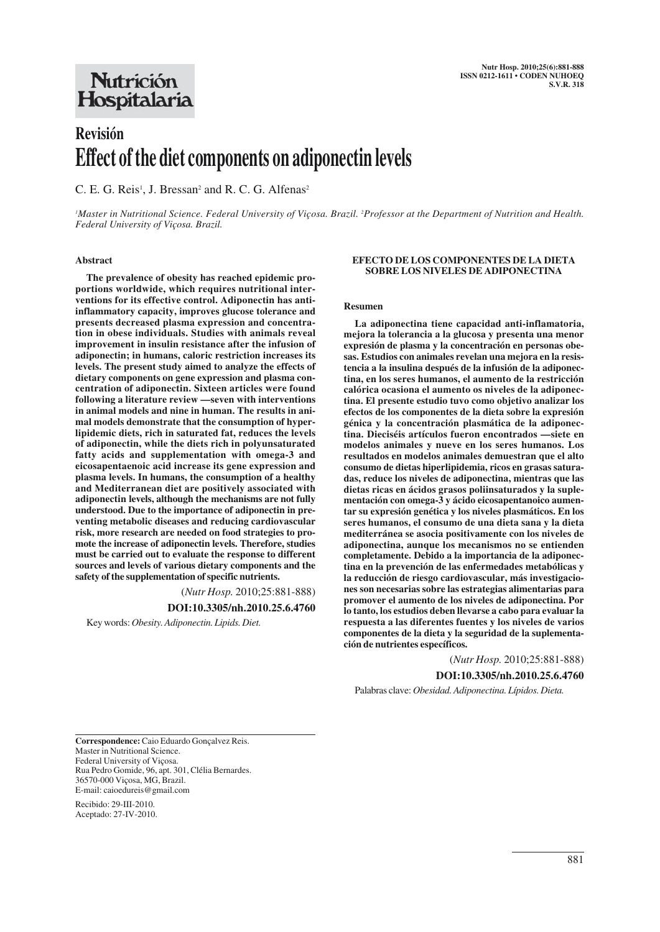## Nutrición Hospitalaria

# **Revisión Effect of the diet components on adiponectin levels**

C. E. G. Reis<sup>1</sup>, J. Bressan<sup>2</sup> and R. C. G. Alfenas<sup>2</sup>

*1 Master in Nutritional Science. Federal University of Viçosa. Brazil. 2 Professor at the Department of Nutrition and Health. Federal University of Viçosa. Brazil.*

#### **Abstract**

**The prevalence of obesity has reached epidemic proportions worldwide, which requires nutritional interventions for its effective control. Adiponectin has antiinflammatory capacity, improves glucose tolerance and presents decreased plasma expression and concentration in obese individuals. Studies with animals reveal improvement in insulin resistance after the infusion of adiponectin; in humans, caloric restriction increases its levels. The present study aimed to analyze the effects of dietary components on gene expression and plasma concentration of adiponectin. Sixteen articles were found following a literature review —seven with interventions in animal models and nine in human. The results in animal models demonstrate that the consumption of hyperlipidemic diets, rich in saturated fat, reduces the levels of adiponectin, while the diets rich in polyunsaturated fatty acids and supplementation with omega-3 and eicosapentaenoic acid increase its gene expression and plasma levels. In humans, the consumption of a healthy and Mediterranean diet are positively associated with adiponectin levels, although the mechanisms are not fully understood. Due to the importance of adiponectin in preventing metabolic diseases and reducing cardiovascular risk, more research are needed on food strategies to promote the increase of adiponectin levels. Therefore, studies must be carried out to evaluate the response to different sources and levels of various dietary components and the safety of the supplementation of specific nutrients.**

(*Nutr Hosp.* 2010;25:881-888)

**DOI:10.3305/nh.2010.25.6.4760**

Key words: *Obesity. Adiponectin. Lipids. Diet.*

#### **EFECTO DE LOS COMPONENTES DE LA DIETA SOBRE LOS NIVELES DE ADIPONECTINA**

#### **Resumen**

**La adiponectina tiene capacidad anti-inflamatoria, mejora la tolerancia a la glucosa y presenta una menor expresión de plasma y la concentración en personas obesas. Estudios con animales revelan una mejora en la resistencia a la insulina después de la infusión de la adiponectina, en los seres humanos, el aumento de la restricción calórica ocasiona el aumento os niveles de la adiponectina. El presente estudio tuvo como objetivo analizar los efectos de los componentes de la dieta sobre la expresión génica y la concentración plasmática de la adiponectina. Dieciséis artículos fueron encontrados —siete en modelos animales y nueve en los seres humanos. Los resultados en modelos animales demuestran que el alto consumo de dietas hiperlipidemia, ricos en grasas saturadas, reduce los niveles de adiponectina, mientras que las dietas ricas en ácidos grasos poliinsaturados y la suplementación con omega-3 y ácido eicosapentanoico aumentar su expresión genética y los niveles plasmáticos. En los seres humanos, el consumo de una dieta sana y la dieta mediterránea se asocia positivamente con los niveles de adiponectina, aunque los mecanismos no se entienden completamente. Debido a la importancia de la adiponectina en la prevención de las enfermedades metabólicas y la reducción de riesgo cardiovascular, más investigaciones son necesarias sobre las estrategias alimentarias para promover el aumento de los niveles de adiponectina. Por lo tanto, los estudios deben llevarse a cabo para evaluar la respuesta a las diferentes fuentes y los niveles de varios componentes de la dieta y la seguridad de la suplementación de nutrientes específicos.**

(*Nutr Hosp.* 2010;25:881-888)

**DOI:10.3305/nh.2010.25.6.4760**

Palabras clave: *Obesidad. Adiponectina. Lípidos. Dieta.*

**Correspondence:** Caio Eduardo Gonçalvez Reis. Master in Nutritional Science. Federal University of Viçosa. Rua Pedro Gomide, 96, apt. 301, Clélia Bernardes. 36570-000 Viçosa, MG, Brazil. E-mail: caioedureis@gmail.com

Recibido: 29-III-2010. Aceptado: 27-IV-2010.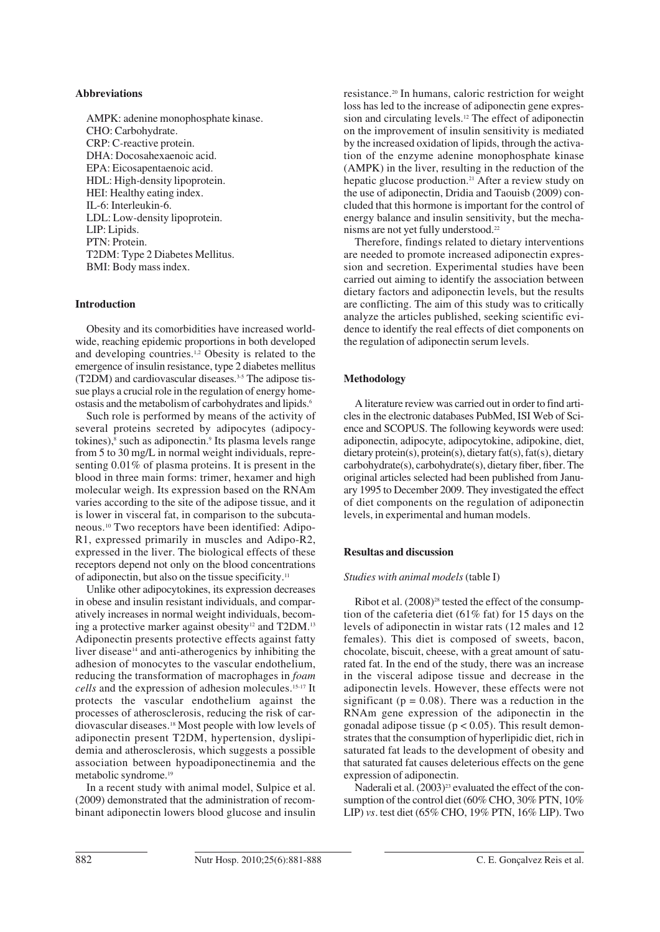#### **Abbreviations**

AMPK: adenine monophosphate kinase. CHO: Carbohydrate. CRP: C*-*reactive protein. DHA: Docosahexaenoic acid. EPA: Eicosapentaenoic acid. HDL: High*-*density lipoprotein. HEI: Healthy eating index. IL-6: Interleukin*-*6. LDL: Low*-*density lipoprotein. LIP: Lipids. PTN: Protein. T2DM: Type 2 Diabetes Mellitus. BMI: Body mass index.

### **Introduction**

Obesity and its comorbidities have increased worldwide, reaching epidemic proportions in both developed and developing countries.1,2 Obesity is related to the emergence of insulin resistance, type 2 diabetes mellitus (T2DM) and cardiovascular diseases.3-5 The adipose tissue plays a crucial role in the regulation of energy homeostasis and the metabolism of carbohydrates and lipids.6

Such role is performed by means of the activity of several proteins secreted by adipocytes (adipocytokines), $\delta$  such as adiponectin. $\delta$  Its plasma levels range from 5 to 30 mg/L in normal weight individuals, representing 0.01% of plasma proteins. It is present in the blood in three main forms: trimer, hexamer and high molecular weigh. Its expression based on the RNAm varies according to the site of the adipose tissue, and it is lower in visceral fat, in comparison to the subcutaneous.10 Two receptors have been identified: Adipo-R1, expressed primarily in muscles and Adipo-R2, expressed in the liver. The biological effects of these receptors depend not only on the blood concentrations of adiponectin, but also on the tissue specificity.11

Unlike other adipocytokines, its expression decreases in obese and insulin resistant individuals, and comparatively increases in normal weight individuals, becoming a protective marker against obesity<sup>12</sup> and T2DM.<sup>13</sup> Adiponectin presents protective effects against fatty liver disease<sup>14</sup> and anti-atherogenics by inhibiting the adhesion of monocytes to the vascular endothelium, reducing the transformation of macrophages in *foam cells* and the expression of adhesion molecules.15-17 It protects the vascular endothelium against the processes of atherosclerosis, reducing the risk of cardiovascular diseases.18 Most people with low levels of adiponectin present T2DM, hypertension, dyslipidemia and atherosclerosis, which suggests a possible association between hypoadiponectinemia and the metabolic syndrome.19

In a recent study with animal model, Sulpice et al. (2009) demonstrated that the administration of recombinant adiponectin lowers blood glucose and insulin resistance.20 In humans, caloric restriction for weight loss has led to the increase of adiponectin gene expression and circulating levels.12 The effect of adiponectin on the improvement of insulin sensitivity is mediated by the increased oxidation of lipids, through the activation of the enzyme adenine monophosphate kinase (AMPK) in the liver, resulting in the reduction of the hepatic glucose production.<sup>21</sup> After a review study on the use of adiponectin, Dridia and Taouisb (2009) concluded that this hormone is important for the control of energy balance and insulin sensitivity, but the mechanisms are not yet fully understood.<sup>22</sup>

Therefore, findings related to dietary interventions are needed to promote increased adiponectin expression and secretion. Experimental studies have been carried out aiming to identify the association between dietary factors and adiponectin levels, but the results are conflicting. The aim of this study was to critically analyze the articles published, seeking scientific evidence to identify the real effects of diet components on the regulation of adiponectin serum levels.

#### **Methodology**

A literature review was carried out in order to find articles in the electronic databases PubMed, ISI Web of Science and SCOPUS. The following keywords were used: adiponectin, adipocyte, adipocytokine, adipokine, diet, dietary protein(s), protein(s), dietary fat(s), fat(s), dietary carbohydrate(s), carbohydrate(s), dietary fiber, fiber. The original articles selected had been published from January 1995 to December 2009. They investigated the effect of diet components on the regulation of adiponectin levels, in experimental and human models.

#### **Resultas and discussion**

#### *Studies with animal models* (table I)

Ribot et al. (2008)<sup>28</sup> tested the effect of the consumption of the cafeteria diet (61% fat) for 15 days on the levels of adiponectin in wistar rats (12 males and 12 females). This diet is composed of sweets, bacon, chocolate, biscuit, cheese, with a great amount of saturated fat. In the end of the study, there was an increase in the visceral adipose tissue and decrease in the adiponectin levels. However, these effects were not significant ( $p = 0.08$ ). There was a reduction in the RNAm gene expression of the adiponectin in the gonadal adipose tissue ( $p < 0.05$ ). This result demonstrates that the consumption of hyperlipidic diet, rich in saturated fat leads to the development of obesity and that saturated fat causes deleterious effects on the gene expression of adiponectin.

Naderali et al.  $(2003)^{23}$  evaluated the effect of the consumption of the control diet (60% CHO, 30% PTN, 10% LIP) *vs.* test diet (65% CHO, 19% PTN, 16% LIP). Two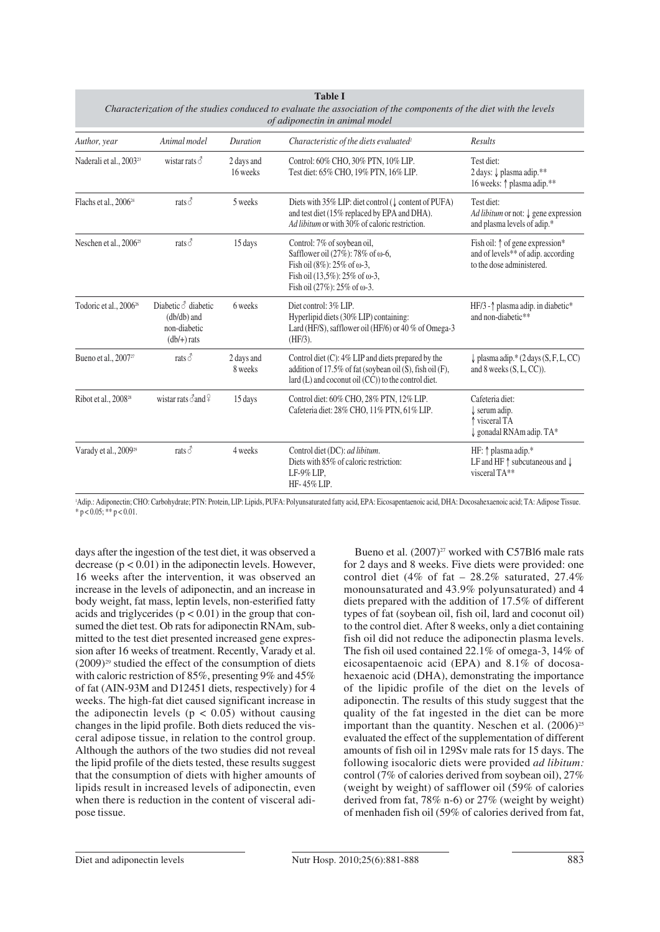| <b>Table I</b><br>Characterization of the studies conduced to evaluate the association of the components of the diet with the levels<br>of adiponectin in animal model |                                                                              |                        |                                                                                                                                                                                                           |                                                                                                                         |  |
|------------------------------------------------------------------------------------------------------------------------------------------------------------------------|------------------------------------------------------------------------------|------------------------|-----------------------------------------------------------------------------------------------------------------------------------------------------------------------------------------------------------|-------------------------------------------------------------------------------------------------------------------------|--|
| Author, year                                                                                                                                                           | Animal model                                                                 | Duration               | Characteristic of the diets evaluated <sup>1</sup>                                                                                                                                                        | Results                                                                                                                 |  |
| Naderali et al., 2003 <sup>23</sup>                                                                                                                                    | wistar rats $\delta$                                                         | 2 days and<br>16 weeks | Control: 60% CHO, 30% PTN, 10% LIP.<br>Test diet: 65% CHO, 19% PTN, 16% LIP.                                                                                                                              | Test diet:<br>2 days: ↓ plasma adip.**<br>16 weeks: $\uparrow$ plasma adip.**                                           |  |
| Flachs et al., 2006 <sup>24</sup>                                                                                                                                      | rats $\vec{\circ}$                                                           | 5 weeks                | Diets with $35\%$ LIP: diet control ( $\downarrow$ content of PUFA)<br>and test diet (15% replaced by EPA and DHA).<br>Ad libitum or with 30% of caloric restriction.                                     | Test diet:<br>Ad libitum or not: $\downarrow$ gene expression<br>and plasma levels of adip.*                            |  |
| Neschen et al., 2006 <sup>25</sup>                                                                                                                                     | rats $\vec{\circ}$                                                           | 15 days                | Control: 7% of soybean oil,<br>Safflower oil (27%): 78% of $\omega$ -6,<br>Fish oil $(8\%)$ : 25% of $\omega$ -3,<br>Fish oil $(13.5\%)$ : 25% of $\omega$ -3,<br>Fish oil $(27\%)$ : 25% of $\omega$ -3. | Fish oil: $\uparrow$ of gene expression*<br>and of levels <sup>**</sup> of adip. according<br>to the dose administered. |  |
| Todoric et al., 2006 <sup>26</sup>                                                                                                                                     | Diabetic $\delta$ diabetic<br>$(db/db)$ and<br>non-diabetic<br>$(db/+)$ rats | 6 weeks                | Diet control: 3% LIP.<br>Hyperlipid diets (30% LIP) containing:<br>Lard (HF/S), safflower oil (HF/6) or 40 % of Omega-3<br>$(HF/3)$ .                                                                     | HF/3 - 1 plasma adip. in diabetic*<br>and non-diabetic**                                                                |  |
| Bueno et al., 2007 <sup>27</sup>                                                                                                                                       | rats $\delta$                                                                | 2 days and<br>8 weeks  | Control diet $(C)$ : 4% LIP and diets prepared by the<br>addition of 17.5% of fat (soybean oil (S), fish oil (F),<br>lard $(L)$ and coconut oil $(CC)$ to the control diet.                               | $\downarrow$ plasma adip.* (2 days (S, F, L, CC)<br>and 8 weeks $(S, L, CC)$ ).                                         |  |
| Ribot et al., 2008 <sup>28</sup>                                                                                                                                       | wistar rats $\delta$ and $\frac{1}{2}$                                       | 15 days                | Control diet: 60% CHO, 28% PTN, 12% LIP.<br>Cafeteria diet: 28% CHO, 11% PTN, 61% LIP.                                                                                                                    | Cafeteria diet:<br>serum adip.<br>↑ visceral TA<br>gonadal RNAm adip. TA*                                               |  |
| Varady et al., 2009 <sup>29</sup>                                                                                                                                      | rats $\vec{\circ}$                                                           | 4 weeks                | Control diet (DC): ad libitum.<br>Diets with 85% of caloric restriction:<br>LF-9% LIP,<br>HF-45% LIP.                                                                                                     | HF: 1 plasma adip.*<br>LF and HF $\uparrow$ subcutaneous and $\downarrow$<br>visceral TA**                              |  |

1 Adip.: Adiponectin; CHO: Carbohydrate; PTN: Protein, LIP: Lipids, PUFA: Polyunsaturated fatty acid, EPA: Eicosapentaenoic acid, DHA: Docosahexaenoic acid; TA: Adipose Tissue.  $* p < 0.05; ** p < 0.01.$ 

days after the ingestion of the test diet, it was observed a decrease ( $p < 0.01$ ) in the adiponectin levels. However, 16 weeks after the intervention, it was observed an increase in the levels of adiponectin, and an increase in body weight, fat mass, leptin levels, non-esterified fatty acids and triglycerides  $(p < 0.01)$  in the group that consumed the diet test. Ob rats for adiponectin RNAm, submitted to the test diet presented increased gene expression after 16 weeks of treatment. Recently, Varady et al.  $(2009)^{29}$  studied the effect of the consumption of diets with caloric restriction of 85%, presenting 9% and 45% of fat (AIN-93M and D12451 diets, respectively) for 4 weeks. The high-fat diet caused significant increase in the adiponectin levels ( $p < 0.05$ ) without causing changes in the lipid profile. Both diets reduced the visceral adipose tissue, in relation to the control group. Although the authors of the two studies did not reveal the lipid profile of the diets tested, these results suggest that the consumption of diets with higher amounts of lipids result in increased levels of adiponectin, even when there is reduction in the content of visceral adipose tissue.

Bueno et al.  $(2007)^{27}$  worked with C57Bl6 male rats for 2 days and 8 weeks. Five diets were provided: one control diet (4% of fat – 28.2% saturated, 27.4%) monounsaturated and 43.9% polyunsaturated) and 4 diets prepared with the addition of 17.5% of different types of fat (soybean oil, fish oil, lard and coconut oil) to the control diet. After 8 weeks, only a diet containing fish oil did not reduce the adiponectin plasma levels. The fish oil used contained 22.1% of omega-3, 14% of eicosapentaenoic acid (EPA) and 8.1% of docosahexaenoic acid (DHA), demonstrating the importance of the lipidic profile of the diet on the levels of adiponectin. The results of this study suggest that the quality of the fat ingested in the diet can be more important than the quantity. Neschen et al.  $(2006)^{25}$ evaluated the effect of the supplementation of different amounts of fish oil in 129Sv male rats for 15 days. The following isocaloric diets were provided *ad libitum:* control (7% of calories derived from soybean oil), 27% (weight by weight) of safflower oil (59% of calories derived from fat, 78% n-6) or 27% (weight by weight) of menhaden fish oil (59% of calories derived from fat,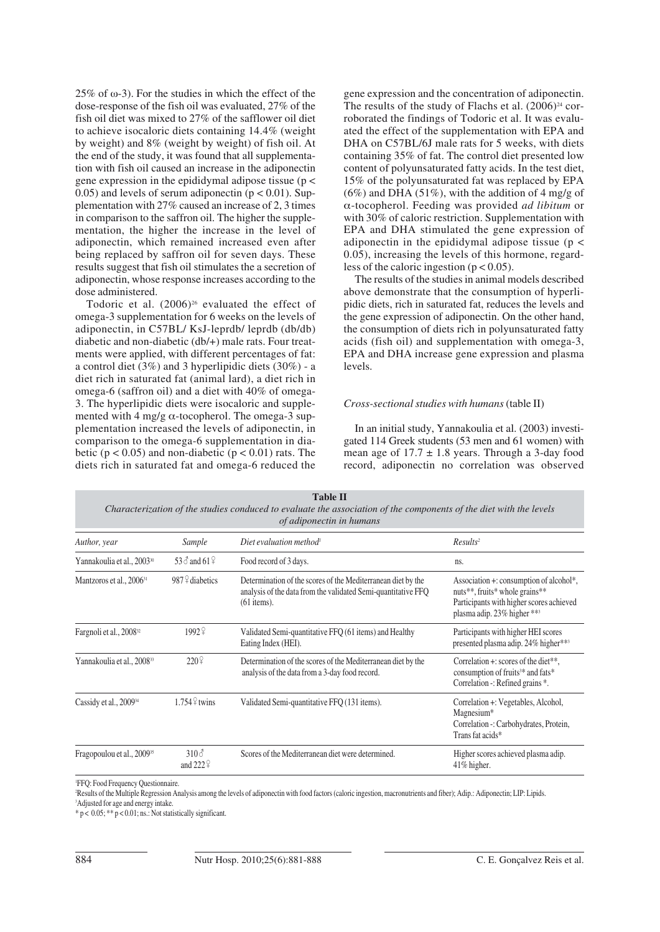25% of  $\omega$ -3). For the studies in which the effect of the dose-response of the fish oil was evaluated, 27% of the fish oil diet was mixed to 27% of the safflower oil diet to achieve isocaloric diets containing 14.4% (weight by weight) and 8% (weight by weight) of fish oil. At the end of the study, it was found that all supplementation with fish oil caused an increase in the adiponectin gene expression in the epididymal adipose tissue ( $p <$ 0.05) and levels of serum adiponectin  $(p < 0.01)$ . Supplementation with 27% caused an increase of 2, 3 times in comparison to the saffron oil. The higher the supplementation, the higher the increase in the level of adiponectin, which remained increased even after being replaced by saffron oil for seven days. These results suggest that fish oil stimulates the a secretion of adiponectin, whose response increases according to the dose administered.

Todoric et al.  $(2006)^{26}$  evaluated the effect of omega-3 supplementation for 6 weeks on the levels of adiponectin, in C57BL/ KsJ-leprdb/ leprdb (db/db) diabetic and non-diabetic (db/+) male rats. Four treatments were applied, with different percentages of fat: a control diet (3%) and 3 hyperlipidic diets (30%) - a diet rich in saturated fat (animal lard), a diet rich in omega-6 (saffron oil) and a diet with 40% of omega-3. The hyperlipidic diets were isocaloric and supplemented with 4 mg/g  $\alpha$ -tocopherol. The omega-3 supplementation increased the levels of adiponectin, in comparison to the omega-6 supplementation in diabetic ( $p < 0.05$ ) and non-diabetic ( $p < 0.01$ ) rats. The diets rich in saturated fat and omega-6 reduced the

gene expression and the concentration of adiponectin. The results of the study of Flachs et al.  $(2006)^{24}$  corroborated the findings of Todoric et al. It was evaluated the effect of the supplementation with EPA and DHA on C57BL/6J male rats for 5 weeks, with diets containing 35% of fat. The control diet presented low content of polyunsaturated fatty acids. In the test diet, 15% of the polyunsaturated fat was replaced by EPA  $(6\%)$  and DHA  $(51\%)$ , with the addition of 4 mg/g of α-tocopherol. Feeding was provided *ad libitum* or with 30% of caloric restriction. Supplementation with EPA and DHA stimulated the gene expression of adiponectin in the epididymal adipose tissue ( $p <$ 0.05), increasing the levels of this hormone, regardless of the caloric ingestion ( $p < 0.05$ ).

The results of the studies in animal models described above demonstrate that the consumption of hyperlipidic diets, rich in saturated fat, reduces the levels and the gene expression of adiponectin. On the other hand, the consumption of diets rich in polyunsaturated fatty acids (fish oil) and supplementation with omega-3, EPA and DHA increase gene expression and plasma levels.

#### *Cross-sectional studies with humans*(table II)

In an initial study, Yannakoulia et al. (2003) investigated 114 Greek students (53 men and 61 women) with mean age of  $17.7 \pm 1.8$  years. Through a 3-day food record, adiponectin no correlation was observed

| <i>v auponecim in numans</i>                               |                                  |                                                                                                                                                |                                                                                                                                                      |  |  |
|------------------------------------------------------------|----------------------------------|------------------------------------------------------------------------------------------------------------------------------------------------|------------------------------------------------------------------------------------------------------------------------------------------------------|--|--|
| Author, year                                               | Sample                           | Diet evaluation method <sup>1</sup>                                                                                                            | Results <sup>2</sup>                                                                                                                                 |  |  |
| Yannakoulia et al., 2003 <sup>30</sup>                     | 53 $\delta$ and 61 $\Omega$      | Food record of 3 days.                                                                                                                         | ns.                                                                                                                                                  |  |  |
| Mantzoros et al., 2006 <sup>31</sup>                       | 987 $\frac{9}{4}$ diabetics      | Determination of the scores of the Mediterranean diet by the<br>analysis of the data from the validated Semi-quantitative FFQ<br>$(61$ items). | Association +: consumption of alcohol*,<br>nuts**, fruits* whole grains**<br>Participants with higher scores achieved<br>plasma adip. 23% higher *** |  |  |
| Fargnoli et al., 2008 <sup>32</sup>                        | 19929                            | Validated Semi-quantitative FFQ (61 items) and Healthy<br>Eating Index (HEI).                                                                  | Participants with higher HEI scores<br>presented plasma adip. 24% higher**3                                                                          |  |  |
| 220 <sup>°</sup><br>Yannakoulia et al., 2008 <sup>33</sup> |                                  | Determination of the scores of the Mediterranean diet by the<br>analysis of the data from a 3-day food record.                                 | Correlation +: scores of the diet**,<br>consumption of fruits <sup>3*</sup> and fats <sup>*</sup><br>Correlation -: Refined grains *.                |  |  |
| Cassidy et al., 2009 <sup>34</sup>                         | $1.754\frac{^}{5}$ twins         | Validated Semi-quantitative FFQ (131 items).                                                                                                   | Correlation +: Vegetables, Alcohol,<br>Magnesium*<br>Correlation -: Carbohydrates, Protein,<br>Trans fat acids*                                      |  |  |
| Fragopoulou et al., 2009 <sup>35</sup>                     | $310\sigma$<br>and $222\sqrt{2}$ | Scores of the Mediterranean diet were determined.                                                                                              | Higher scores achieved plasma adip.<br>$41\%$ higher.                                                                                                |  |  |
|                                                            |                                  |                                                                                                                                                |                                                                                                                                                      |  |  |

**Table II** *Characterization of the studies conduced to evaluate the association of the components of the diet with the levels of adiponectin in humans*

1 FFQ: Food Frequency Questionnaire.

Results of the Multiple Regression Analysis among the levels of adiponectin with food factors (caloric ingestion, macronutrients and fiber); Adip.: Adiponectin; LIP: Lipids.<br>3 Adipated for age and energy intake

<sup>3</sup>Adjusted for age and energy intake.

\* p < 0.05; \*\* p < 0.01; ns.: Not statistically significant.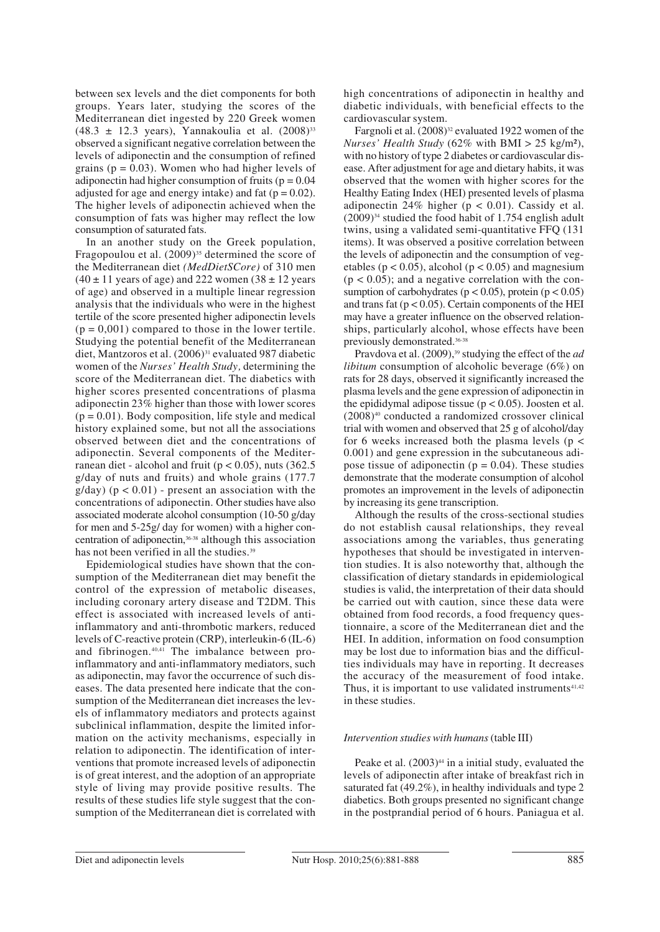between sex levels and the diet components for both groups. Years later, studying the scores of the Mediterranean diet ingested by 220 Greek women  $(48.3 \pm 12.3 \text{ years})$ , Yannakoulia et al.  $(2008)^{33}$ observed a significant negative correlation between the levels of adiponectin and the consumption of refined grains ( $p = 0.03$ ). Women who had higher levels of adiponectin had higher consumption of fruits ( $p = 0.04$ ) adjusted for age and energy intake) and fat  $(p = 0.02)$ . The higher levels of adiponectin achieved when the consumption of fats was higher may reflect the low consumption of saturated fats.

In an another study on the Greek population, Fragopoulou et al. (2009)<sup>35</sup> determined the score of the Mediterranean diet *(MedDietSCore)* of 310 men  $(40 \pm 11)$  years of age) and 222 women  $(38 \pm 12)$  years of age) and observed in a multiple linear regression analysis that the individuals who were in the highest tertile of the score presented higher adiponectin levels  $(p = 0.001)$  compared to those in the lower tertile. Studying the potential benefit of the Mediterranean diet, Mantzoros et al. (2006)<sup>31</sup> evaluated 987 diabetic women of the *Nurses' Health Study,* determining the score of the Mediterranean diet. The diabetics with higher scores presented concentrations of plasma adiponectin 23% higher than those with lower scores  $(p = 0.01)$ . Body composition, life style and medical history explained some, but not all the associations observed between diet and the concentrations of adiponectin. Several components of the Mediterranean diet - alcohol and fruit ( $p < 0.05$ ), nuts (362.5) g/day of nuts and fruits) and whole grains (177.7  $g/day)$  ( $p < 0.01$ ) - present an association with the concentrations of adiponectin. Other studies have also associated moderate alcohol consumption (10-50 g/day for men and 5-25g/ day for women) with a higher concentration of adiponectin,36-38 although this association has not been verified in all the studies.<sup>39</sup>

Epidemiological studies have shown that the consumption of the Mediterranean diet may benefit the control of the expression of metabolic diseases, including coronary artery disease and T2DM. This effect is associated with increased levels of antiinflammatory and anti-thrombotic markers, reduced levels of C-reactive protein (CRP), interleukin-6 (IL-6) and fibrinogen.40,41 The imbalance between proinflammatory and anti-inflammatory mediators, such as adiponectin, may favor the occurrence of such diseases. The data presented here indicate that the consumption of the Mediterranean diet increases the levels of inflammatory mediators and protects against subclinical inflammation, despite the limited information on the activity mechanisms, especially in relation to adiponectin. The identification of interventions that promote increased levels of adiponectin is of great interest, and the adoption of an appropriate style of living may provide positive results. The results of these studies life style suggest that the consumption of the Mediterranean diet is correlated with high concentrations of adiponectin in healthy and diabetic individuals, with beneficial effects to the cardiovascular system.

Fargnoli et al. (2008)<sup>32</sup> evaluated 1922 women of the *Nurses' Health Study* (62% with BMI > 25 kg/m²), with no history of type 2 diabetes or cardiovascular disease. After adjustment for age and dietary habits, it was observed that the women with higher scores for the Healthy Eating Index (HEI) presented levels of plasma adiponectin 24% higher ( $p < 0.01$ ). Cassidy et al.  $(2009)^{34}$  studied the food habit of 1.754 english adult twins, using a validated semi-quantitative FFQ (131 items). It was observed a positive correlation between the levels of adiponectin and the consumption of vegetables ( $p < 0.05$ ), alcohol ( $p < 0.05$ ) and magnesium  $(p < 0.05)$ ; and a negative correlation with the consumption of carbohydrates ( $p < 0.05$ ), protein ( $p < 0.05$ ) and trans fat ( $p < 0.05$ ). Certain components of the HEI may have a greater influence on the observed relationships, particularly alcohol, whose effects have been previously demonstrated.36-38

Pravdova et al. (2009),<sup>39</sup> studying the effect of the *ad libitum* consumption of alcoholic beverage (6%) on rats for 28 days, observed it significantly increased the plasma levels and the gene expression of adiponectin in the epididymal adipose tissue ( $p < 0.05$ ). Joosten et al. (2008)40 conducted a randomized crossover clinical trial with women and observed that 25 g of alcohol/day for 6 weeks increased both the plasma levels ( $p <$ 0.001) and gene expression in the subcutaneous adipose tissue of adiponectin ( $p = 0.04$ ). These studies demonstrate that the moderate consumption of alcohol promotes an improvement in the levels of adiponectin by increasing its gene transcription.

Although the results of the cross-sectional studies do not establish causal relationships, they reveal associations among the variables, thus generating hypotheses that should be investigated in intervention studies. It is also noteworthy that, although the classification of dietary standards in epidemiological studies is valid, the interpretation of their data should be carried out with caution, since these data were obtained from food records, a food frequency questionnaire, a score of the Mediterranean diet and the HEI. In addition, information on food consumption may be lost due to information bias and the difficulties individuals may have in reporting. It decreases the accuracy of the measurement of food intake. Thus, it is important to use validated instruments $41,42$ in these studies.

#### *Intervention studies with humans* (table III)

Peake et al.  $(2003)^{44}$  in a initial study, evaluated the levels of adiponectin after intake of breakfast rich in saturated fat (49.2%), in healthy individuals and type 2 diabetics. Both groups presented no significant change in the postprandial period of 6 hours. Paniagua et al.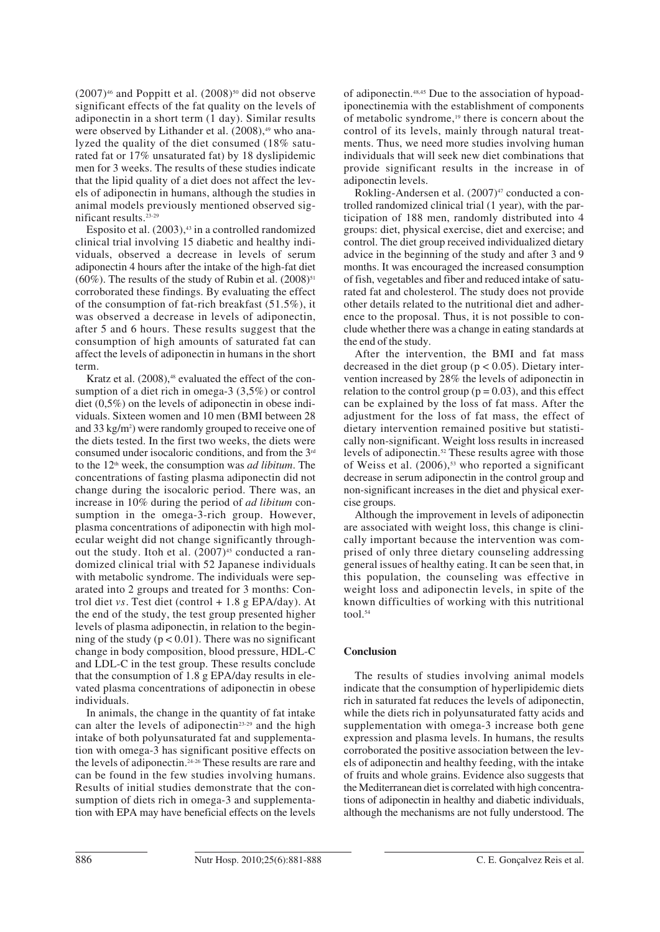$(2007)^{46}$  and Poppitt et al.  $(2008)^{50}$  did not observe significant effects of the fat quality on the levels of adiponectin in a short term (1 day). Similar results were observed by Lithander et al. (2008),<sup>49</sup> who analyzed the quality of the diet consumed (18% saturated fat or 17% unsaturated fat) by 18 dyslipidemic men for 3 weeks. The results of these studies indicate that the lipid quality of a diet does not affect the levels of adiponectin in humans, although the studies in animal models previously mentioned observed significant results.23-29

Esposito et al.  $(2003)$ ,  $43$  in a controlled randomized clinical trial involving 15 diabetic and healthy individuals, observed a decrease in levels of serum adiponectin 4 hours after the intake of the high-fat diet (60%). The results of the study of Rubin et al.  $(2008)^{51}$ corroborated these findings. By evaluating the effect of the consumption of fat-rich breakfast (51.5%), it was observed a decrease in levels of adiponectin, after 5 and 6 hours. These results suggest that the consumption of high amounts of saturated fat can affect the levels of adiponectin in humans in the short term.

Kratz et al.  $(2008)$ ,<sup>48</sup> evaluated the effect of the consumption of a diet rich in omega-3 (3,5%) or control diet (0,5%) on the levels of adiponectin in obese individuals. Sixteen women and 10 men (BMI between 28 and 33 kg/m<sup>2</sup>) were randomly grouped to receive one of the diets tested. In the first two weeks, the diets were consumed under isocaloric conditions, and from the 3rd to the 12<sup>th</sup> week, the consumption was *ad libitum*. The concentrations of fasting plasma adiponectin did not change during the isocaloric period. There was, an increase in 10% during the period of *ad libitum* consumption in the omega-3-rich group. However, plasma concentrations of adiponectin with high molecular weight did not change significantly throughout the study. Itoh et al.  $(2007)^{45}$  conducted a randomized clinical trial with 52 Japanese individuals with metabolic syndrome. The individuals were separated into 2 groups and treated for 3 months: Control diet *vs*. Test diet (control  $+1.8$  g EPA/day). At the end of the study, the test group presented higher levels of plasma adiponectin, in relation to the beginning of the study ( $p < 0.01$ ). There was no significant change in body composition, blood pressure, HDL-C and LDL-C in the test group. These results conclude that the consumption of 1.8 g EPA/day results in elevated plasma concentrations of adiponectin in obese individuals.

In animals, the change in the quantity of fat intake can alter the levels of adiponectin<sup>23-29</sup> and the high intake of both polyunsaturated fat and supplementation with omega-3 has significant positive effects on the levels of adiponectin.24-26 These results are rare and can be found in the few studies involving humans. Results of initial studies demonstrate that the consumption of diets rich in omega-3 and supplementation with EPA may have beneficial effects on the levels of adiponectin.48,45 Due to the association of hypoadiponectinemia with the establishment of components of metabolic syndrome,<sup>19</sup> there is concern about the control of its levels, mainly through natural treatments. Thus, we need more studies involving human individuals that will seek new diet combinations that provide significant results in the increase in of adiponectin levels.

Rokling-Andersen et al.  $(2007)^{47}$  conducted a controlled randomized clinical trial (1 year), with the participation of 188 men, randomly distributed into 4 groups: diet, physical exercise, diet and exercise; and control. The diet group received individualized dietary advice in the beginning of the study and after 3 and 9 months. It was encouraged the increased consumption of fish, vegetables and fiber and reduced intake of saturated fat and cholesterol. The study does not provide other details related to the nutritional diet and adherence to the proposal. Thus, it is not possible to conclude whether there was a change in eating standards at the end of the study.

After the intervention, the BMI and fat mass decreased in the diet group ( $p < 0.05$ ). Dietary intervention increased by 28% the levels of adiponectin in relation to the control group ( $p = 0.03$ ), and this effect can be explained by the loss of fat mass. After the adjustment for the loss of fat mass, the effect of dietary intervention remained positive but statistically non-significant. Weight loss results in increased levels of adiponectin.52 These results agree with those of Weiss et al.  $(2006)$ ,<sup>53</sup> who reported a significant decrease in serum adiponectin in the control group and non-significant increases in the diet and physical exercise groups.

Although the improvement in levels of adiponectin are associated with weight loss, this change is clinically important because the intervention was comprised of only three dietary counseling addressing general issues of healthy eating. It can be seen that, in this population, the counseling was effective in weight loss and adiponectin levels, in spite of the known difficulties of working with this nutritional tool. $54$ 

## **Conclusion**

The results of studies involving animal models indicate that the consumption of hyperlipidemic diets rich in saturated fat reduces the levels of adiponectin, while the diets rich in polyunsaturated fatty acids and supplementation with omega-3 increase both gene expression and plasma levels. In humans, the results corroborated the positive association between the levels of adiponectin and healthy feeding, with the intake of fruits and whole grains. Evidence also suggests that the Mediterranean diet is correlated with high concentrations of adiponectin in healthy and diabetic individuals, although the mechanisms are not fully understood. The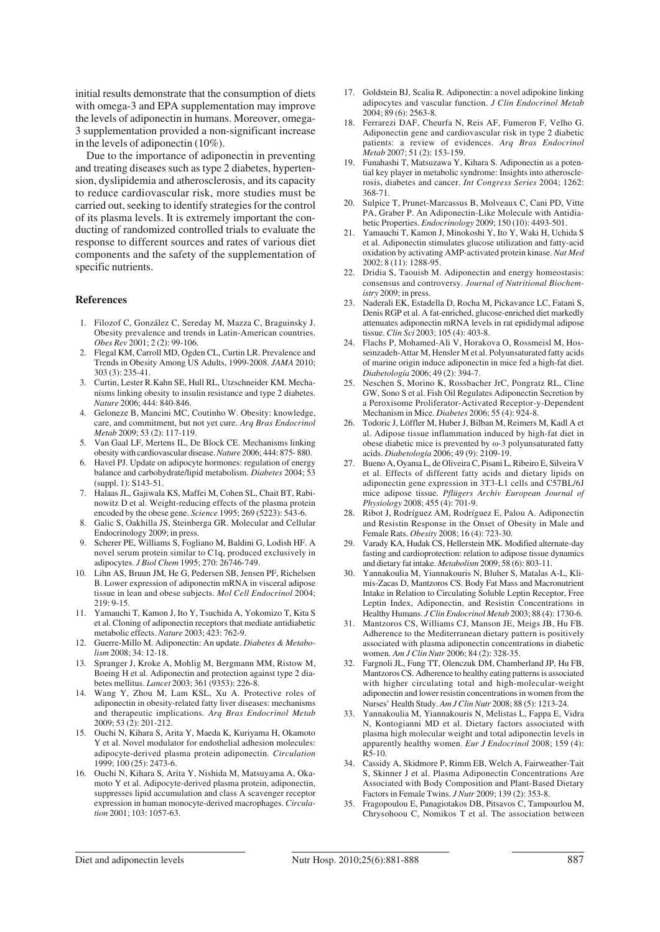initial results demonstrate that the consumption of diets with omega-3 and EPA supplementation may improve the levels of adiponectin in humans. Moreover, omega-3 supplementation provided a non-significant increase in the levels of adiponectin (10%).

Due to the importance of adiponectin in preventing and treating diseases such as type 2 diabetes, hypertension, dyslipidemia and atherosclerosis, and its capacity to reduce cardiovascular risk, more studies must be carried out, seeking to identify strategies for the control of its plasma levels. It is extremely important the conducting of randomized controlled trials to evaluate the response to different sources and rates of various diet components and the safety of the supplementation of specific nutrients.

#### **References**

- 1. Filozof C, González C, Sereday M, Mazza C, Braguinsky J. Obesity prevalence and trends in Latin-American countries. *Obes Rev* 2001; 2 (2): 99-106.
- 2. Flegal KM, Carroll MD, Ogden CL, Curtin LR. Prevalence and Trends in Obesity Among US Adults, 1999-2008. *JAMA* 2010; 303 (3): 235-41.
- 3. Curtin, Lester R.Kahn SE, Hull RL, Utzschneider KM. Mechanisms linking obesity to insulin resistance and type 2 diabetes. *Nature* 2006; 444: 840-846.
- 4. Geloneze B, Mancini MC, Coutinho W. Obesity: knowledge, care, and commitment, but not yet cure. *Arq Bras Endocrinol Metab* 2009; 53 (2): 117-119.
- 5. Van Gaal LF, Mertens IL, De Block CE. Mechanisms linking obesity with cardiovascular disease. *Nature* 2006; 444: 875- 880.
- 6. Havel PJ. Update on adipocyte hormones: regulation of energy balance and carbohydrate/lipid metabolism. *Diabetes* 2004; 53  $(sumb. 1)$ : S143-51.
- 7. Halaas JL, Gajiwala KS, Maffei M, Cohen SL, Chait BT, Rabinowitz D et al. Weight-reducing effects of the plasma protein encoded by the obese gene. *Science* 1995; 269 (5223): 543-6.
- 8. Galic S, Oakhilla JS, Steinberga GR. Molecular and Cellular Endocrinology 2009; in press.
- 9. Scherer PE, Williams S, Fogliano M, Baldini G, Lodish HF. A novel serum protein similar to C1q, produced exclusively in adipocytes. *J Biol Chem* 1995; 270: 26746-749.
- 10. Lihn AS, Bruun JM, He G, Pedersen SB, Jensen PF, Richelsen B. Lower expression of adiponectin mRNA in visceral adipose tissue in lean and obese subjects. *Mol Cell Endocrinol* 2004;  $219.9 - 15$
- 11. Yamauchi T, Kamon J, Ito Y, Tsuchida A, Yokomizo T, Kita S et al. Cloning of adiponectin receptors that mediate antidiabetic metabolic effects. *Nature* 2003; 423: 762-9.
- 12. Guerre-Millo M. Adiponectin: An update. *Diabetes & Metabolism* 2008; 34: 12-18.
- 13. Spranger J, Kroke A, Mohlig M, Bergmann MM, Ristow M, Boeing H et al. Adiponectin and protection against type 2 diabetes mellitus. *Lancet* 2003; 361 (9353): 226-8.
- 14. Wang Y, Zhou M, Lam KSL, Xu A. Protective roles of adiponectin in obesity-related fatty liver diseases: mechanisms and therapeutic implications. *Arq Bras Endocrinol Metab* 2009; 53 (2): 201-212.
- 15. Ouchi N, Kihara S, Arita Y, Maeda K, Kuriyama H, Okamoto Y et al. Novel modulator for endothelial adhesion molecules: adipocyte-derived plasma protein adiponectin. *Circulation* 1999; 100 (25): 2473-6.
- 16. Ouchi N, Kihara S, Arita Y, Nishida M, Matsuyama A, Okamoto Y et al. Adipocyte-derived plasma protein, adiponectin, suppresses lipid accumulation and class A scavenger receptor expression in human monocyte-derived macrophages. *Circulation* 2001; 103: 1057-63.
- 17. Goldstein BJ, Scalia R. Adiponectin: a novel adipokine linking adipocytes and vascular function. *J Clin Endocrinol Metab*  $2004:89(6):2563-8.$
- 18. Ferrarezi DAF, Cheurfa N, Reis AF, Fumeron F, Velho G. Adiponectin gene and cardiovascular risk in type 2 diabetic patients: a review of evidences. *Arq Bras Endocrinol Metab* 2007; 51 (2): 153-159.
- 19. Funahashi T, Matsuzawa Y, Kihara S. Adiponectin as a potential key player in metabolic syndrome: Insights into atherosclerosis, diabetes and cancer. *Int Congress Series* 2004; 1262: 368-71.
- 20. Sulpice T, Prunet-Marcassus B, Molveaux C, Cani PD, Vitte PA, Graber P. An Adiponectin-Like Molecule with Antidiabetic Properties. *Endocrinology* 2009; 150 (10): 4493-501.
- 21. Yamauchi T, Kamon J, Minokoshi Y, Ito Y, Waki H, Uchida S et al. Adiponectin stimulates glucose utilization and fatty-acid oxidation by activating AMP-activated protein kinase. *Nat Med* 2002; 8 (11): 1288-95.
- 22. Dridia S, Taouisb M. Adiponectin and energy homeostasis: consensus and controversy. *Journal of Nutritional Biochemistry* 2009; in press.
- 23. Naderali EK, Estadella D, Rocha M, Pickavance LC, Fatani S, Denis RGP et al. A fat-enriched, glucose-enriched diet markedly attenuates adiponectin mRNA levels in rat epididymal adipose tissue. *Clin Sci* 2003; 105 (4): 403-8.
- 24. Flachs P, Mohamed-Ali V, Horakova O, Rossmeisl M, Hosseinzadeh-Attar M, Hensler M et al. Polyunsaturated fatty acids of marine origin induce adiponectin in mice fed a high-fat diet. *Diabetología* 2006; 49 (2): 394-7.
- 25. Neschen S, Morino K, Rossbacher JrC, Pongratz RL, Cline GW, Sono S et al. Fish Oil Regulates Adiponectin Secretion by a Peroxisome Proliferator-Activated Receptor-y-Dependent Mechanism in Mice. *Diabetes* 2006; 55 (4): 924-8.
- 26. Todoric J, Löffler M, Huber J, Bilban M, Reimers M, Kadl A et al. Adipose tissue inflammation induced by high-fat diet in obese diabetic mice is prevented by ω-3 polyunsaturated fatty acids. *Diabetología* 2006; 49 (9): 2109-19.
- 27. Bueno A, Oyama L, de Oliveira C, Pisani L, Ribeiro E, Silveira V et al. Effects of different fatty acids and dietary lipids on adiponectin gene expression in 3T3-L1 cells and C57BL/6J mice adipose tissue. *Pflügers Archiv European Journal of Physio logy* 2008; 455 (4): 701-9.
- 28. Ribot J, Rodríguez AM, Rodríguez E, Palou A. Adiponectin and Resistin Response in the Onset of Obesity in Male and Female Rats. *Obesity* 2008; 16 (4): 723-30.
- 29. Varady KA, Hudak CS, Hellerstein MK. Modified alternate-day fasting and cardioprotection: relation to adipose tissue dynamics and dietary fat intake. *Metabolism* 2009; 58 (6): 803-11.
- 30. Yannakoulia M, Yiannakouris N, Bluher S, Matalas A-L, Klimis-Zacas D, Mantzoros CS. Body Fat Mass and Macronutrient Intake in Relation to Circulating Soluble Leptin Receptor, Free Leptin Index, Adiponectin, and Resistin Concentrations in Healthy Humans. *J Clin Endocrinol Metab* 2003; 88 (4): 1730-6.
- 31. Mantzoros CS, Williams CJ, Manson JE, Meigs JB, Hu FB. Adherence to the Mediterranean dietary pattern is positively associated with plasma adiponectin concentrations in diabetic women. *Am J Clin Nutr* 2006; 84 (2): 328-35.
- 32. Fargnoli JL, Fung TT, Olenczuk DM, Chamberland JP, Hu FB, Mantzoros CS. Adherence to healthy eating patterns is associated with higher circulating total and high-molecular-weight adiponectin and lower resistin concentrations in women from the Nurses' Health Study. *Am J Clin Nutr* 2008; 88 (5): 1213-24.
- 33. Yannakoulia M, Yiannakouris N, Melistas L, Fappa E, Vidra N, Kontogianni MD et al. Dietary factors associated with plasma high molecular weight and total adiponectin levels in apparently healthy women. *Eur J Endocrinol* 2008; 159 (4): R5-10.
- 34. Cassidy A, Skidmore P, Rimm EB, Welch A, Fairweather-Tait S, Skinner J et al. Plasma Adiponectin Concentrations Are Associated with Body Composition and Plant-Based Dietary Factors in Female Twins. *J Nutr* 2009; 139 (2): 353-8.
- 35. Fragopoulou E, Panagiotakos DB, Pitsavos C, Tampourlou M, Chrysohoou C, Nomikos T et al. The association between